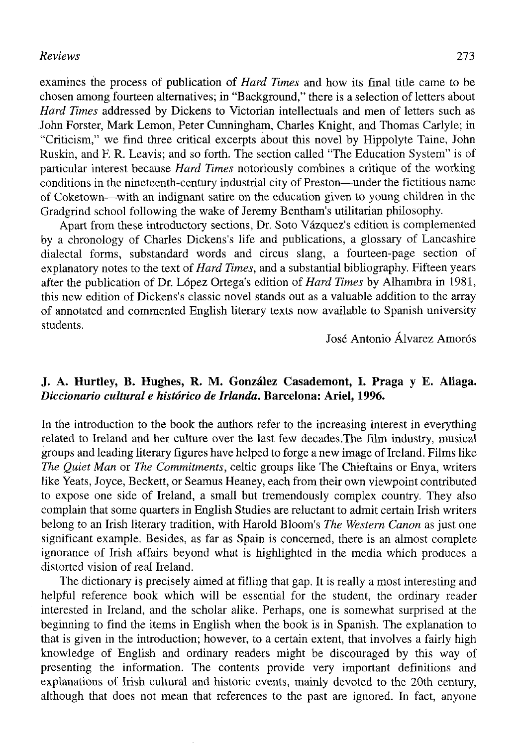## *Reviews* 273

examines the process of publication of *Hard Times* and how its final title carne to be chosen among fourteen altematives; in "Background," there is a selection of letters about *Hard Times* addressed by Dickens to Victorian intellectuals and men of letters such as John Forster, Mark Lemon, Peter Cunningham, Charles Knight, and Thomas Carlyle; in "Criticism," we find three critical excerpts about this novel by Hippolyte Taine, John Ruskin, and F. R. Leavis; and so forth. The section called "The Education System" is of particular interest because *Hard Times* notoriously combines a critique of the working conditions in the nineteenth-century industrial city of Preston—under the fictitious ñame of Coketown—with an indignant satire on the education given to young children in the Gradgrind school following the wake of Jeremy Bentham's utilitarian philosophy.

Apart from these introductory sections, Dr. Soto Vázquez's edition is complemented by a chronology of Charles Dickens's life and publications, a glossary of Lancashire dialectal forms, substandard words and circus slang, a fourteen-page section of explanatory notes to the text *oí Hard Times,* and a substantial bibliography. Fifteen years after the publication of Dr. López Ortega's edition of *Hard Times* by Alhambra in 1981, this new edition of Dickens's classic novel stands out as a valuable addition to the array of annotated and commented English literary texts now available to Spanish university students.

José Antonio Álvarez Amorós

## **J. A. Hurtley, B. Hughes, R. M. González Casademont, I. Praga y E. Aliaga.**  *Diccionario cultural e histórico de Irlanda.* **Barcelona: Ariel, 1996.**

In the introduction to the book the authors refer to the increasing interest in everything related to Ireland and her culture over the last few decades.The film industry, musical groups and leading literary figures have helped to forge a new image of Ireland. Films like *The Quiet Man* or *The Commitments,* celtic groups like The Chieftains or Enya, writers like Yeats, Joyce, Beckett, or Seamus Heaney, each from their own viewpoint contributed to expose one side of Ireland, a small but tremendously complex country. They also complain that some quarters in English Studies are reluctant to admit certain Irish writers belong to an Irish literary tradition, with Harold Bloom's *The Western Canon* as just one significant example. Besides, as far as Spain is concerned, there is an almost complete ignorance of Irish affairs beyond what is highlighted in the media which produces a distorted visión of real Ireland.

The dictionary is precisely aimed at filling that gap. It is really a most interesting and helpful reference book which will be essential for the student, the ordinary reader interested in Ireland, and the scholar alike. Perhaps, one is somewhat surprised at the beginning to find the items in English when the book is in Spanish. The explanation to that is given in the introduction; however, to a certain extent, that involves a fairly high knowledge of English and ordinary readers might be discouraged by this way of presenting the information. The contents provide very important definitions and explanations of Irish cultural and historie events, mainly devoted to the 20th century, although that does not mean that references to the past are ignored. In fact, anyone